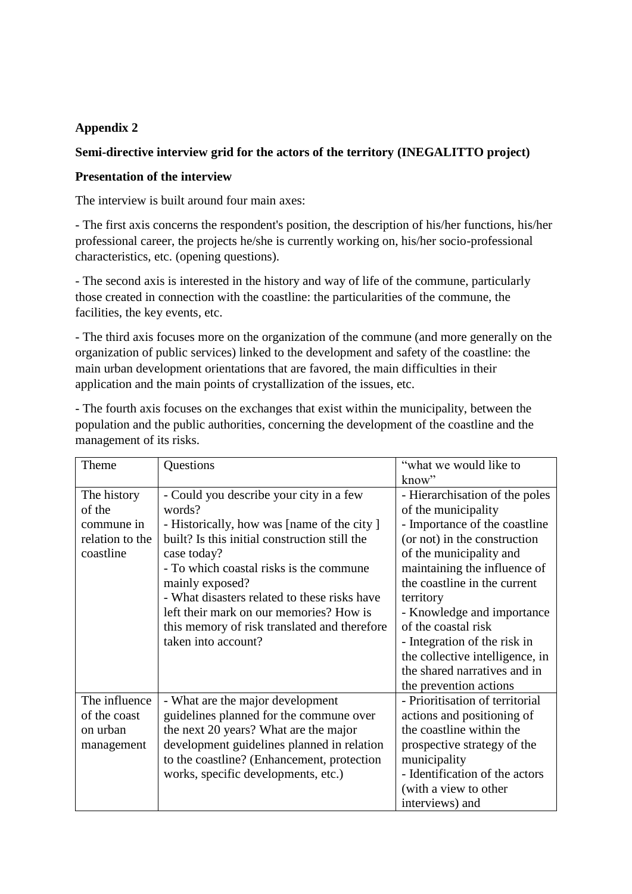## **Appendix 2**

## **Semi-directive interview grid for the actors of the territory (INEGALITTO project)**

## **Presentation of the interview**

The interview is built around four main axes:

- The first axis concerns the respondent's position, the description of his/her functions, his/her professional career, the projects he/she is currently working on, his/her socio-professional characteristics, etc. (opening questions).

- The second axis is interested in the history and way of life of the commune, particularly those created in connection with the coastline: the particularities of the commune, the facilities, the key events, etc.

- The third axis focuses more on the organization of the commune (and more generally on the organization of public services) linked to the development and safety of the coastline: the main urban development orientations that are favored, the main difficulties in their application and the main points of crystallization of the issues, etc.

| management of its risks.                                            |                                                                                                                                                                                                                                                                                                                                                                                                 |                                                                                                                                                                                                                                                                                                                                                                                                                  |  |
|---------------------------------------------------------------------|-------------------------------------------------------------------------------------------------------------------------------------------------------------------------------------------------------------------------------------------------------------------------------------------------------------------------------------------------------------------------------------------------|------------------------------------------------------------------------------------------------------------------------------------------------------------------------------------------------------------------------------------------------------------------------------------------------------------------------------------------------------------------------------------------------------------------|--|
| Theme                                                               | Questions                                                                                                                                                                                                                                                                                                                                                                                       | "what we would like to"<br>know"                                                                                                                                                                                                                                                                                                                                                                                 |  |
| The history<br>of the<br>commune in<br>relation to the<br>coastline | - Could you describe your city in a few<br>words?<br>- Historically, how was [name of the city]<br>built? Is this initial construction still the<br>case today?<br>- To which coastal risks is the commune<br>mainly exposed?<br>- What disasters related to these risks have<br>left their mark on our memories? How is<br>this memory of risk translated and therefore<br>taken into account? | - Hierarchisation of the poles<br>of the municipality<br>- Importance of the coastline<br>(or not) in the construction<br>of the municipality and<br>maintaining the influence of<br>the coastline in the current<br>territory<br>- Knowledge and importance<br>of the coastal risk<br>- Integration of the risk in<br>the collective intelligence, in<br>the shared narratives and in<br>the prevention actions |  |
| The influence<br>of the coast<br>on urban<br>management             | - What are the major development<br>guidelines planned for the commune over<br>the next 20 years? What are the major<br>development guidelines planned in relation<br>to the coastline? (Enhancement, protection<br>works, specific developments, etc.)                                                                                                                                         | - Prioritisation of territorial<br>actions and positioning of<br>the coastline within the<br>prospective strategy of the<br>municipality<br>- Identification of the actors<br>(with a view to other<br>interviews) and                                                                                                                                                                                           |  |

- The fourth axis focuses on the exchanges that exist within the municipality, between the population and the public authorities, concerning the development of the coastline and the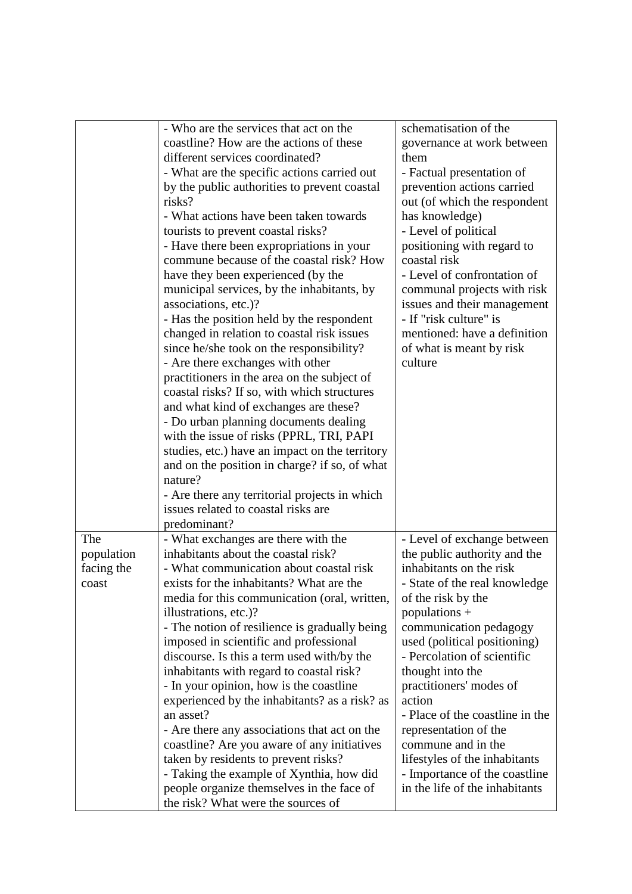|                                          | - Who are the services that act on the<br>coastline? How are the actions of these<br>different services coordinated?<br>- What are the specific actions carried out<br>by the public authorities to prevent coastal<br>risks?<br>- What actions have been taken towards<br>tourists to prevent coastal risks?<br>- Have there been expropriations in your<br>commune because of the coastal risk? How<br>have they been experienced (by the<br>municipal services, by the inhabitants, by<br>associations, etc.)?<br>- Has the position held by the respondent<br>changed in relation to coastal risk issues<br>since he/she took on the responsibility?<br>- Are there exchanges with other<br>practitioners in the area on the subject of<br>coastal risks? If so, with which structures<br>and what kind of exchanges are these?<br>- Do urban planning documents dealing<br>with the issue of risks (PPRL, TRI, PAPI<br>studies, etc.) have an impact on the territory<br>and on the position in charge? if so, of what<br>nature?<br>- Are there any territorial projects in which<br>issues related to coastal risks are | schematisation of the<br>governance at work between<br>them<br>- Factual presentation of<br>prevention actions carried<br>out (of which the respondent<br>has knowledge)<br>- Level of political<br>positioning with regard to<br>coastal risk<br>- Level of confrontation of<br>communal projects with risk<br>issues and their management<br>- If "risk culture" is<br>mentioned: have a definition<br>of what is meant by risk<br>culture                                                             |
|------------------------------------------|--------------------------------------------------------------------------------------------------------------------------------------------------------------------------------------------------------------------------------------------------------------------------------------------------------------------------------------------------------------------------------------------------------------------------------------------------------------------------------------------------------------------------------------------------------------------------------------------------------------------------------------------------------------------------------------------------------------------------------------------------------------------------------------------------------------------------------------------------------------------------------------------------------------------------------------------------------------------------------------------------------------------------------------------------------------------------------------------------------------------------------|----------------------------------------------------------------------------------------------------------------------------------------------------------------------------------------------------------------------------------------------------------------------------------------------------------------------------------------------------------------------------------------------------------------------------------------------------------------------------------------------------------|
| The<br>population<br>facing the<br>coast | predominant?<br>- What exchanges are there with the<br>inhabitants about the coastal risk?<br>- What communication about coastal risk<br>exists for the inhabitants? What are the<br>media for this communication (oral, written,<br>illustrations, etc.)?<br>- The notion of resilience is gradually being<br>imposed in scientific and professional<br>discourse. Is this a term used with/by the<br>inhabitants with regard to coastal risk?<br>- In your opinion, how is the coastline<br>experienced by the inhabitants? as a risk? as<br>an asset?<br>- Are there any associations that act on the<br>coastline? Are you aware of any initiatives<br>taken by residents to prevent risks?<br>- Taking the example of Xynthia, how did<br>people organize themselves in the face of<br>the risk? What were the sources of                                                                                                                                                                                                                                                                                                 | - Level of exchange between<br>the public authority and the<br>inhabitants on the risk<br>- State of the real knowledge<br>of the risk by the<br>populations $+$<br>communication pedagogy<br>used (political positioning)<br>- Percolation of scientific<br>thought into the<br>practitioners' modes of<br>action<br>- Place of the coastline in the<br>representation of the<br>commune and in the<br>lifestyles of the inhabitants<br>- Importance of the coastline<br>in the life of the inhabitants |